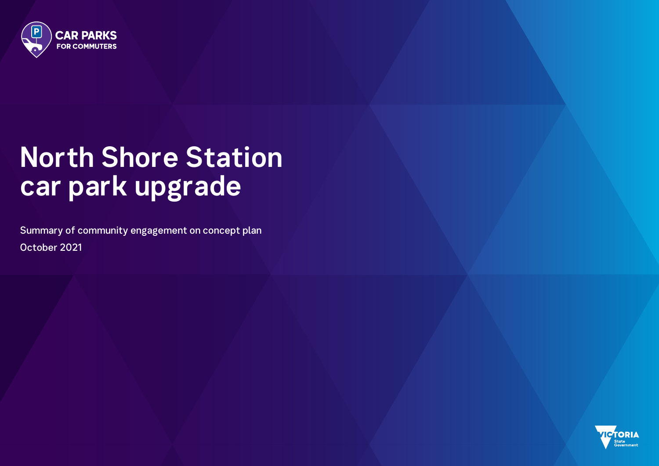

# **North Shore Station car park upgrade**

Summary of community engagement on concept plan October 2021

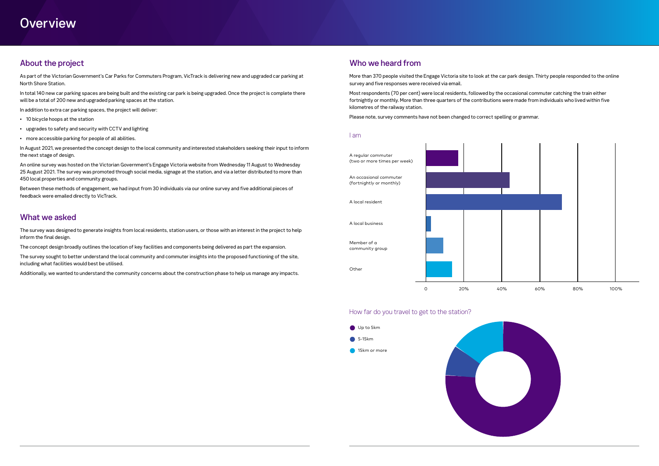## **Overview**

### About the project

As part of the Victorian Government's Car Parks for Commuters Program, VicTrack is delivering new and upgraded car parking at North Shore Station.

In total 140 new car parking spaces are being built and the existing car park is being upgraded. Once the project is complete there will be a total of 200 new and upgraded parking spaces at the station.

In addition to extra car parking spaces, the project will deliver:

- 10 bicycle hoops at the station
- upgrades to safety and security with CCTV and lighting
- more accessible parking for people of all abilities.

In August 2021, we presented the concept design to the local community and interested stakeholders seeking their input to inform the next stage of design.

An online survey was hosted on the Victorian Government's Engage Victoria website from Wednesday 11 August to Wednesday 25 August 2021. The survey was promoted through social media, signage at the station, and via a letter distributed to more than 450 local properties and community groups.

Between these methods of engagement, we had input from 30 individuals via our online survey and five additional pieces of feedback were emailed directly to VicTrack.

#### What we asked

The survey was designed to generate insights from local residents, station users, or those with an interest in the project to help inform the final design.

The concept design broadly outlines the location of key facilities and components being delivered as part the expansion.

The survey sought to better understand the local community and commuter insights into the proposed functioning of the site, including what facilities would best be utilised.

Additionally, we wanted to understand the community concerns about the construction phase to help us manage any impacts.

#### Who we heard from

More than 370 people visited the Engage Victoria site to look at the car park design. Thirty people responded to the online survey and five responses were received via email.

Most respondents (70 per cent) were local residents, followed by the occasional commuter catching the train either fortnightly or monthly. More than three quarters of the contributions were made from individuals who lived within five kilometres of the railway station.

Please note, survey comments have not been changed to correct spelling or grammar.

#### I am

#### How far do you travel to get to the station?





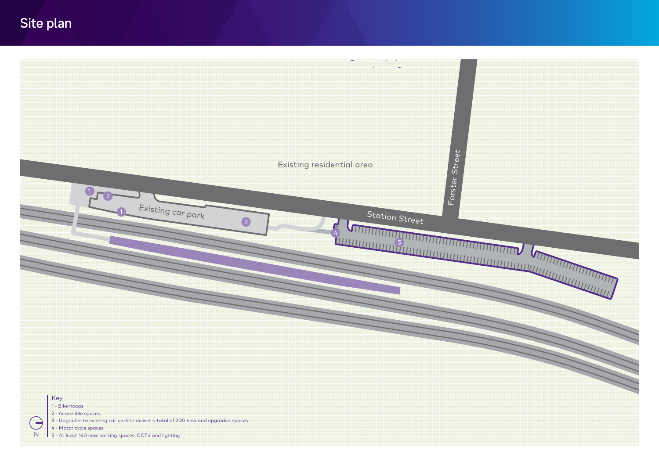## Site plan

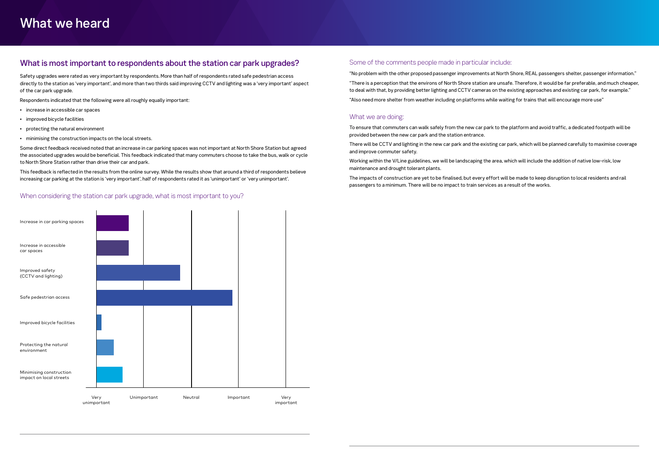#### What is most important to respondents about the station car park upgrades?

Safety upgrades were rated as very important by respondents. More than half of respondents rated safe pedestrian access directly to the station as 'very important', and more than two thirds said improving CCTV and lighting was a 'very important' aspect of the car park upgrade.

Respondents indicated that the following were all roughly equally important:

- increase in accessible car spaces
- improved bicycle facilities
- protecting the natural environment
- minimising the construction impacts on the local streets.

Some direct feedback received noted that an increase in car parking spaces was not important at North Shore Station but agreed the associated upgrades would be beneficial. This feedback indicated that many commuters choose to take the bus, walk or cycle to North Shore Station rather than drive their car and park.

This feedback is reflected in the results from the online survey. While the results show that around a third of respondents believe increasing car parking at the station is 'very important', half of respondents rated it as 'unimportant' or 'very unimportant'.

When considering the station car park upgrade, what is most important to you?

#### Some of the comments people made in particular include:

"No problem with the other proposed passenger improvements at North Shore, REAL passengers shelter, passenger information." "There is a perception that the environs of North Shore station are unsafe. Therefore, it would be far preferable, and much cheaper, to deal with that, by providing better lighting and CCTV cameras on the existing approaches and existing car park, for example." "Also need more shelter from weather including on platforms while waiting for trains that will encourage more use"

#### What we are doing:

To ensure that commuters can walk safely from the new car park to the platform and avoid traffic, a dedicated footpath will be provided between the new car park and the station entrance.

There will be CCTV and lighting in the new car park and the existing car park, which will be planned carefully to maximise coverage and improve commuter safety.

Working within the V/Line guidelines, we will be landscaping the area, which will include the addition of native low-risk, low maintenance and drought tolerant plants.

The impacts of construction are yet to be finalised, but every effort will be made to keep disruption to local residents and rail passengers to a minimum. There will be no impact to train services as a result of the works.

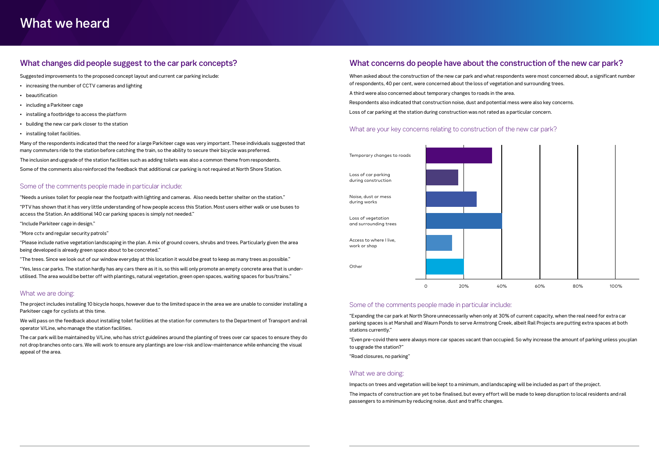#### What concerns do people have about the construction of the new car park?

When asked about the construction of the new car park and what respondents were most concerned about, a significant number of respondents, 40 per cent, were concerned about the loss of vegetation and surrounding trees. A third were also concerned about temporary changes to roads in the area. Respondents also indicated that construction noise, dust and potential mess were also key concerns. Loss of car parking at the station during construction was not rated as a particular concern.

#### What are your key concerns relating to construction of the new car park?

#### Some of the comments people made in particular include:

"Expanding the car park at North Shore unnecessarily when only at 30% of current capacity, when the real need for extra car parking spaces is at Marshall and Waurn Ponds to serve Armstrong Creek, albeit Rail Projects are putting extra spaces at both stations currently."

"Even pre-covid there were always more car spaces vacant than occupied. So why increase the amount of parking unless you plan to upgrade the station?"

"Road closures, no parking"

#### What we are doing:

Impacts on trees and vegetation will be kept to a minimum, and landscaping will be included as part of the project.

The impacts of construction are yet to be finalised, but every effort will be made to keep disruption to local residents and rail passengers to a minimum by reducing noise, dust and traffic changes.

#### What changes did people suggest to the car park concepts?

Suggested improvements to the proposed concept layout and current car parking include:

- increasing the number of CCTV cameras and lighting
- beautification
- including a Parkiteer cage
- installing a footbridge to access the platform
- building the new car park closer to the station
- installing toilet facilities.

Many of the respondents indicated that the need for a large Parkiteer cage was very important. These individuals suggested that many commuters ride to the station before catching the train, so the ability to secure their bicycle was preferred.

The inclusion and upgrade of the station facilities such as adding toilets was also a common theme from respondents.

Some of the comments also reinforced the feedback that additional car parking is not required at North Shore Station.

#### Some of the comments people made in particular include:

"Needs a unisex toilet for people near the footpath with lighting and cameras. Also needs better shelter on the station."

"PTV has shown that it has very little understanding of how people access this Station. Most users either walk or use buses to access the Station. An additional 140 car parking spaces is simply not needed."

"Include Parkiteer cage in design."

"More cctv and regular security patrols"

"Please include native vegetation landscaping in the plan. A mix of ground covers, shrubs and trees. Particularly given the area being developed is already green space about to be concreted."

"The trees. Since we look out of our window everyday at this location it would be great to keep as many trees as possible."

"Yes, less car parks. The station hardly has any cars there as it is, so this will only promote an empty concrete area that is underutilised. The area would be better off with plantings, natural vegetation, green open spaces, waiting spaces for bus/trains."

#### What we are doing:

The project includes installing 10 bicycle hoops, however due to the limited space in the area we are unable to consider installing a Parkiteer cage for cyclists at this time.

We will pass on the feedback about installing toilet facilities at the station for commuters to the Department of Transport and rail operator V/Line, who manage the station facilities.

The car park will be maintained by V/Line, who has strict guidelines around the planting of trees over car spaces to ensure they do not drop branches onto cars. We will work to ensure any plantings are low-risk and low-maintenance while enhancing the visual appeal of the area.

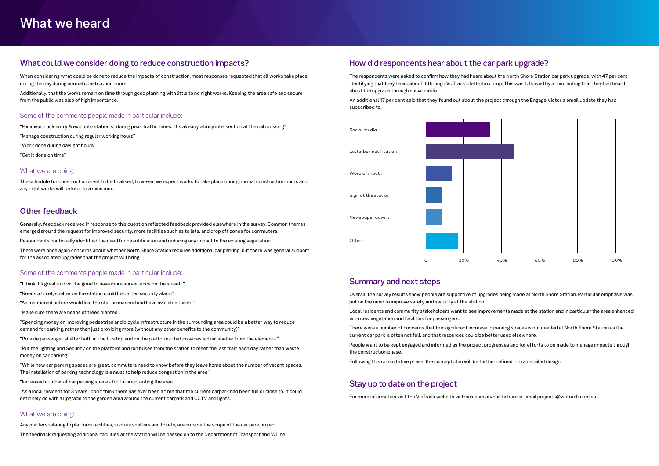#### What could we consider doing to reduce construction impacts?

When considering what could be done to reduce the impacts of construction, most responses requested that all works take place during the day during normal construction hours.

Additionally, that the works remain on time through good planning with little to no night works. Keeping the area safe and secure from the public was also of high importance.

#### Some of the comments people made in particular include:

"Minimise truck entry & exit onto station st during peak traffic times. It's already a busy intersection at the rail crossing"

"Manage construction during regular working hours"

"Work done during daylight hours"

"Get it done on time"

#### What we are doing:

The schedule for construction is yet to be finalised, however we expect works to take place during normal construction hours and any night works will be kept to a minimum.

#### Other feedback

Generally, feedback received in response to this question reflected feedback provided elsewhere in the survey. Common themes emerged around the request for improved security, more facilities such as toilets, and drop off zones for commuters.

Respondents continually identified the need for beautification and reducing any impact to the existing vegetation.

There were once again concerns about whether North Shore Station requires additional car parking, but there was general support for the associated upgrades that the project will bring.

#### Some of the comments people made in particular include:

"I think it's great and will be good to have more surveillance on the street. "

- "Needs a toilet, shelter on the station could be better, security alarm"
- "As mentioned before would like the station manned and have available toilets"
- "Make sure there are heaps of trees planted."

"Spending money on improving pedestrian and bicycle infrastructure in the surrounding area could be a better way to reduce demand for parking, rather than just providing more (without any other benefits to the community)"

"Provide passenger shelter both at the bus top and on the platforms that provides actual shelter from the elements."

"Put the lighting and Security on the platform and run buses from the station to meet the last train each day rather than waste money on car parking."

"While new car parking spaces are great, commuters need to know before they leave home about the number of vacant spaces. The installation of parking technology is a must to help reduce congestion in the area."

"Increased number of car parking spaces for future proofing the area."

"As a local resident for 3 years I don't think there has ever been a time that the current carpark had been full or close to. It could definitely do with a upgrade to the garden area around the current carpark and CCTV and lights."

#### What we are doing:

Any matters relating to platform facilities, such as shelters and toilets, are outside the scope of the car park project. The feedback requesting additional facilities at the station will be passed on to the Department of Transport and V/Line.

#### How did respondents hear about the car park upgrade?

The respondents were asked to confirm how they had heard about the North Shore Station car park upgrade, with 47 per cent identifying that they heard about it through VicTrack's letterbox drop. This was followed by a third noting that they had heard about the upgrade through social media.

An additional 17 per cent said that they found out about the project through the Engage Victoria email update they had subscribed to.

#### Summary and next steps

Overall, the survey results show people are supportive of upgrades being made at North Shore Station. Particular emphasis was put on the need to improve safety and security at the station.

Local residents and community stakeholders want to see improvements made at the station and in particular the area enhanced with new vegetation and facilities for passengers.

There were a number of concerns that the significant increase in parking spaces is not needed at North Shore Station as the current car park is often not full, and that resources could be better used elsewhere.

People want to be kept engaged and informed as the project progresses and for efforts to be made to manage impacts through the construction phase.

Following this consultative phase, the concept plan will be further refined into a detailed design.

#### Stay up to date on the project

For more information visit the VicTrack website victrack.com.au/northshore or email projects@victrack.com.au